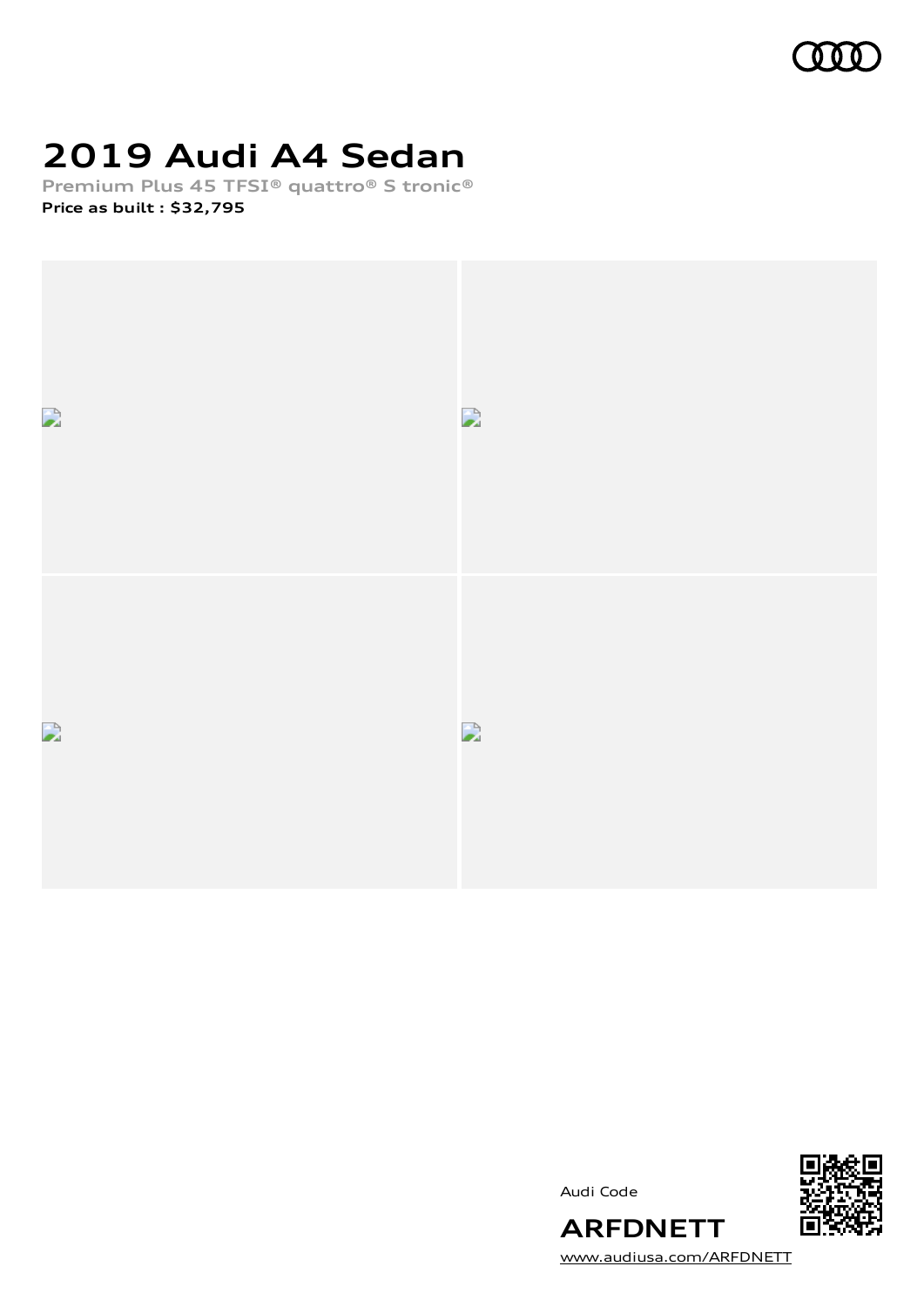

## **2019 Audi A4 Sedan**

**Premium Plus 45 TFSI® quattro® S tronic® Price as built [:](#page-7-0) \$32,795**



Audi Code



**ARFDNETT** [www.audiusa.com/ARFDNETT](https://www.audiusa.com/ARFDNETT)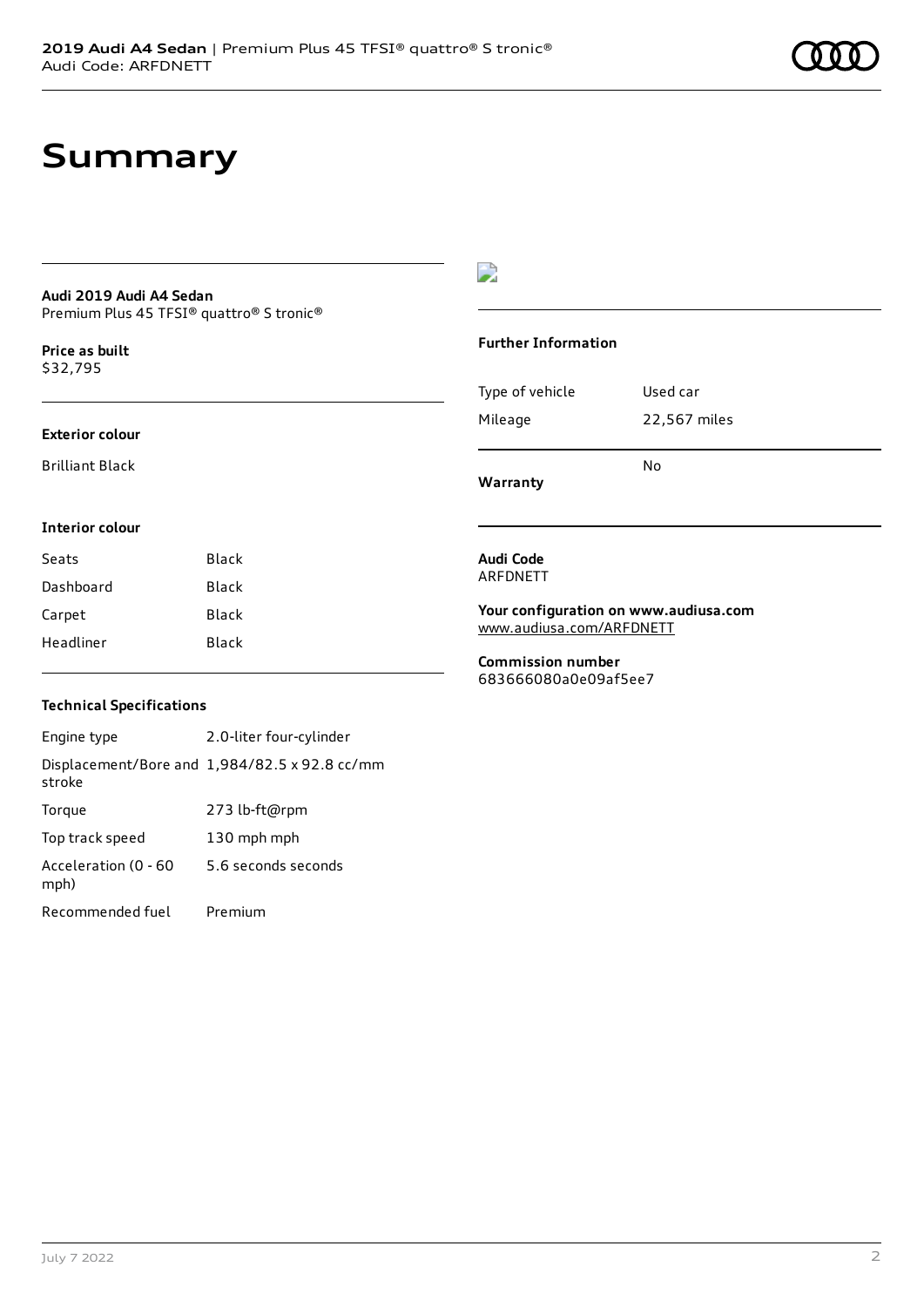### **Summary**

#### **Audi 2019 Audi A4 Sedan** Premium Plus 45 TFSI® quattro® S tronic®

**Price as buil[t](#page-7-0)** \$32,795

### **Exterior colour**

Brilliant Black

### D

### **Further Information**

| Warranty        | N٥           |
|-----------------|--------------|
| Mileage         | 22,567 miles |
| Type of vehicle | Used car     |

### **Interior colour**

| Seats     | Black |
|-----------|-------|
| Dashboard | Black |
| Carpet    | Black |
| Headliner | Black |

#### **Audi Code** ARFDNETT

**Your configuration on www.audiusa.com** [www.audiusa.com/ARFDNETT](https://www.audiusa.com/ARFDNETT)

**Commission number** 683666080a0e09af5ee7

### **Technical Specifications**

Engine type 2.0-liter four-cylinder Displacement/Bore and 1,984/82.5 x 92.8 cc/mm stroke Torque 273 lb-ft@rpm Top track speed 130 mph mph Acceleration (0 - 60 mph) 5.6 seconds seconds Recommended fuel Premium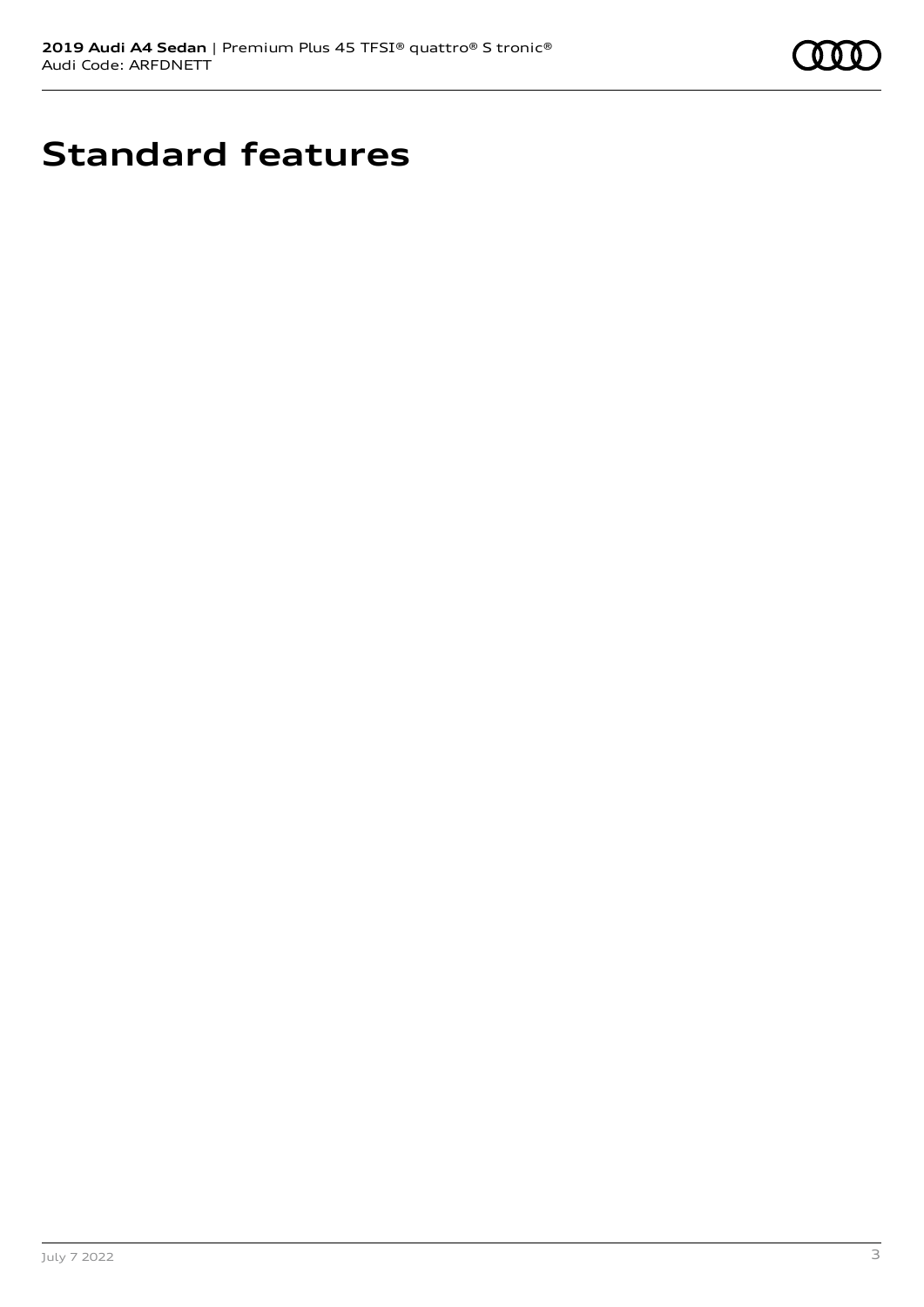

## **Standard features**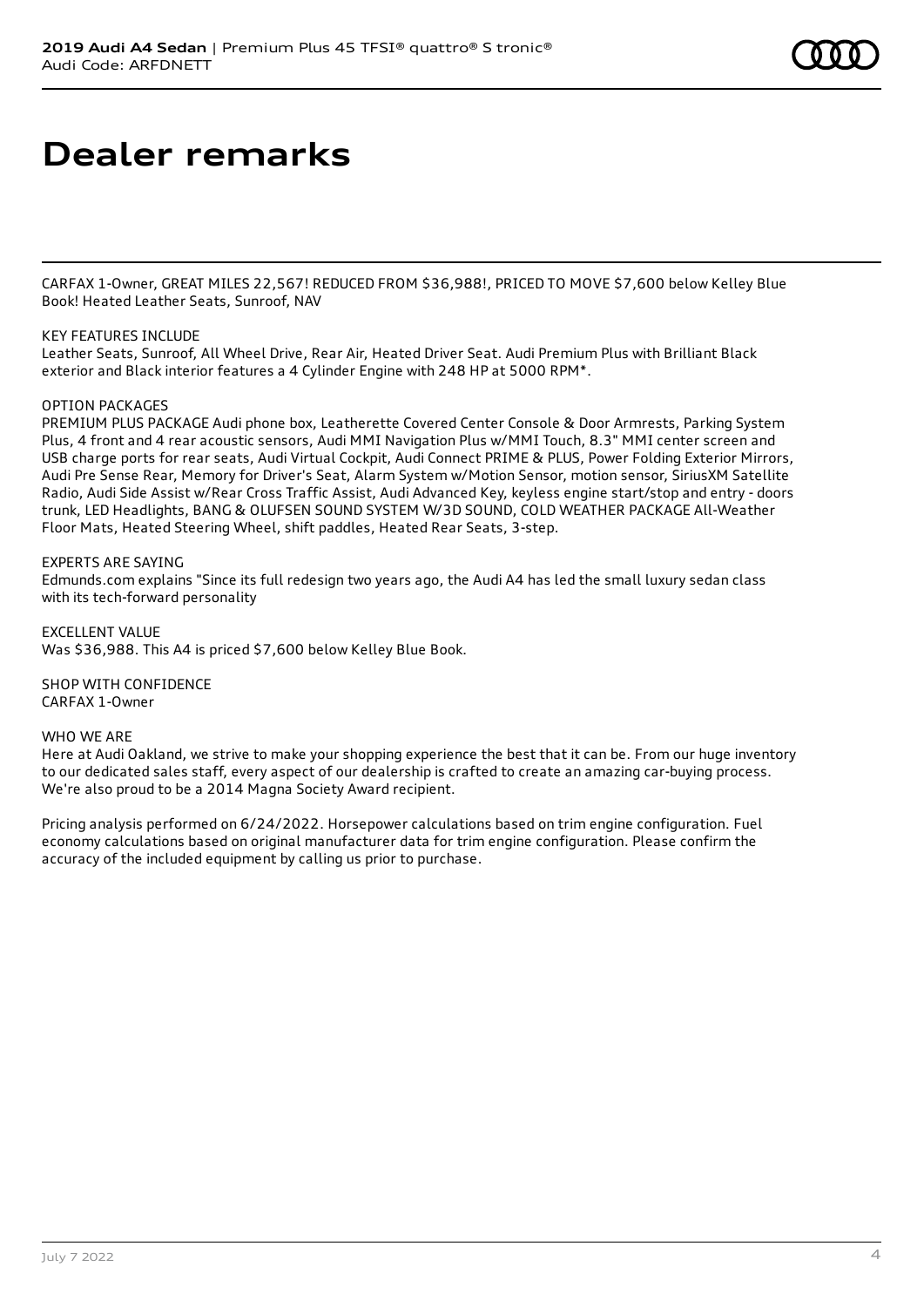### **Dealer remarks**

CARFAX 1-Owner, GREAT MILES 22,567! REDUCED FROM \$36,988!, PRICED TO MOVE \$7,600 below Kelley Blue Book! Heated Leather Seats, Sunroof, NAV

### KEY FEATURES INCLUDE

Leather Seats, Sunroof, All Wheel Drive, Rear Air, Heated Driver Seat. Audi Premium Plus with Brilliant Black exterior and Black interior features a 4 Cylinder Engine with 248 HP at 5000 RPM\*.

### OPTION PACKAGES

PREMIUM PLUS PACKAGE Audi phone box, Leatherette Covered Center Console & Door Armrests, Parking System Plus, 4 front and 4 rear acoustic sensors, Audi MMI Navigation Plus w/MMI Touch, 8.3" MMI center screen and USB charge ports for rear seats, Audi Virtual Cockpit, Audi Connect PRIME & PLUS, Power Folding Exterior Mirrors, Audi Pre Sense Rear, Memory for Driver's Seat, Alarm System w/Motion Sensor, motion sensor, SiriusXM Satellite Radio, Audi Side Assist w/Rear Cross Traffic Assist, Audi Advanced Key, keyless engine start/stop and entry - doors trunk, LED Headlights, BANG & OLUFSEN SOUND SYSTEM W/3D SOUND, COLD WEATHER PACKAGE All-Weather Floor Mats, Heated Steering Wheel, shift paddles, Heated Rear Seats, 3-step.

### EXPERTS ARE SAYING

Edmunds.com explains "Since its full redesign two years ago, the Audi A4 has led the small luxury sedan class with its tech-forward personality

EXCELLENT VALUE Was \$36,988. This A4 is priced \$7,600 below Kelley Blue Book.

SHOP WITH CONFIDENCE CARFAX 1-Owner

#### WHO WE ARE

Here at Audi Oakland, we strive to make your shopping experience the best that it can be. From our huge inventory to our dedicated sales staff, every aspect of our dealership is crafted to create an amazing car-buying process. We're also proud to be a 2014 Magna Society Award recipient.

Pricing analysis performed on 6/24/2022. Horsepower calculations based on trim engine configuration. Fuel economy calculations based on original manufacturer data for trim engine configuration. Please confirm the accuracy of the included equipment by calling us prior to purchase.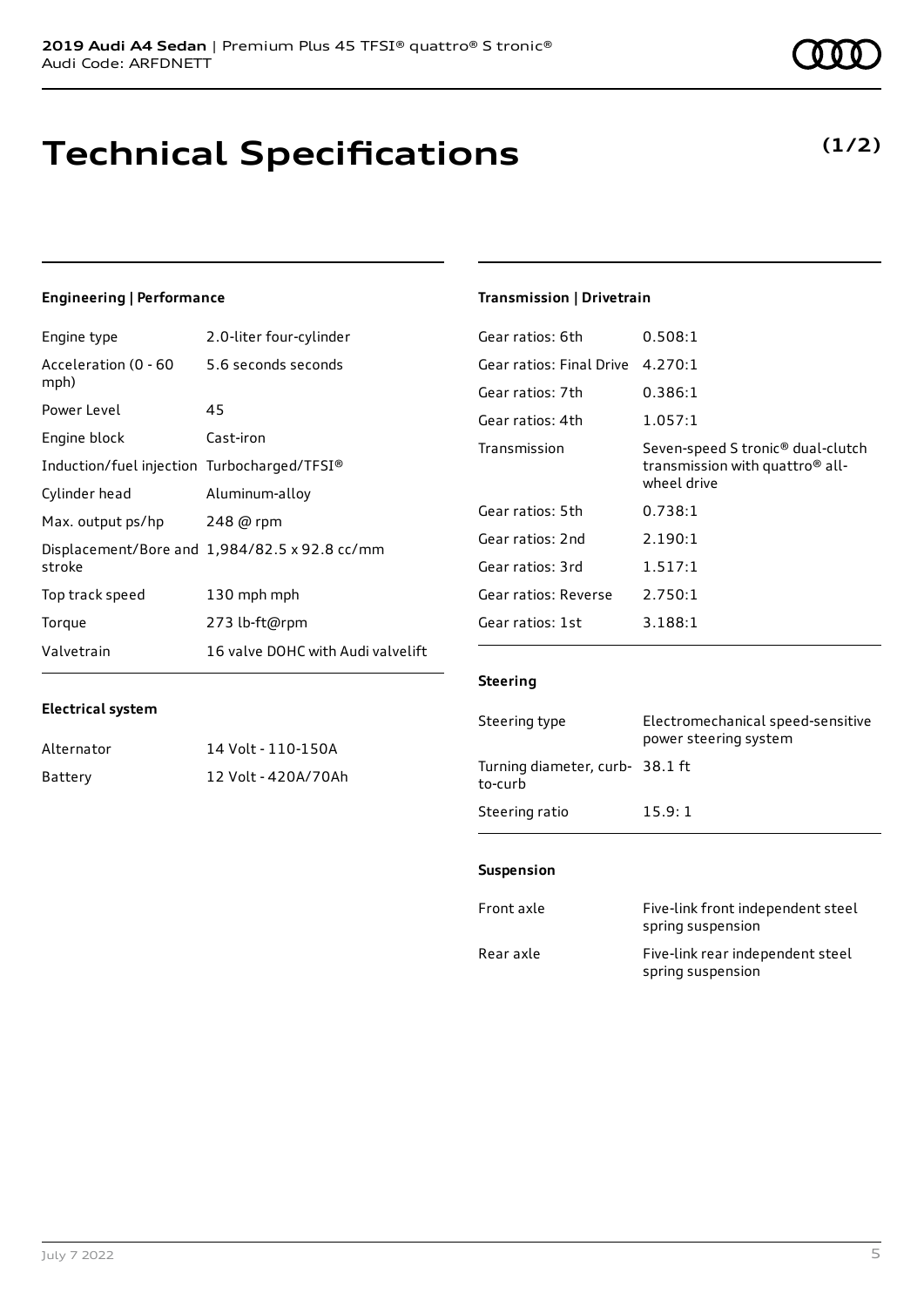### **Technical Specifications**

July 7 2022 5

### **Engineering | Performance**

**Electrical system**

Engine type 2.0-liter four-cylinder

Alternator 14 Volt - 110-150A Battery 12 Volt - 420A/70Ah

| Acceleration (0 - 60<br>mph)                | 5.6 seconds seconds                           |
|---------------------------------------------|-----------------------------------------------|
| Power Level                                 | 45                                            |
| Engine block                                | Cast-iron                                     |
| Induction/fuel injection Turbocharged/TFSI® |                                               |
| Cylinder head                               | Aluminum-alloy                                |
| Max. output ps/hp                           | 248 @ rpm                                     |
| stroke                                      | Displacement/Bore and 1,984/82.5 x 92.8 cc/mm |
| Top track speed                             | 130 mph mph                                   |
| Torque                                      | 273 lb-ft@rpm                                 |
| Valvetrain                                  | 16 valve DOHC with Audi valvelift             |

### **Transmission | Drivetrain**

| Gear ratios: 6th         | 0.508:1                                                                                                     |
|--------------------------|-------------------------------------------------------------------------------------------------------------|
| Gear ratios: Final Drive | 4.270:1                                                                                                     |
| Gear ratios: 7th         | 0.386:1                                                                                                     |
| Gear ratios: 4th         | 1.057:1                                                                                                     |
| Transmission             | Seven-speed S tronic <sup>®</sup> dual-clutch<br>transmission with quattro <sup>®</sup> all-<br>wheel drive |
| Gear ratios: 5th         | 0.738:1                                                                                                     |
| Gear ratios: 2nd         | 2.190:1                                                                                                     |
| Gear ratios: 3rd         | 1.517:1                                                                                                     |
| Gear ratios: Reverse     | 2.750:1                                                                                                     |
| Gear ratios: 1st         | 3.188:1                                                                                                     |

### **Steering**

| Steering type                             | Electromechanical speed-sensitive<br>power steering system |
|-------------------------------------------|------------------------------------------------------------|
| Turning diameter, curb-38.1 ft<br>to-curb |                                                            |
| Steering ratio                            | 15.9:1                                                     |

#### **Suspension**

| Front axle | Five-link front independent steel<br>spring suspension |
|------------|--------------------------------------------------------|
| Rear axle  | Five-link rear independent steel<br>spring suspension  |

**(1/2)**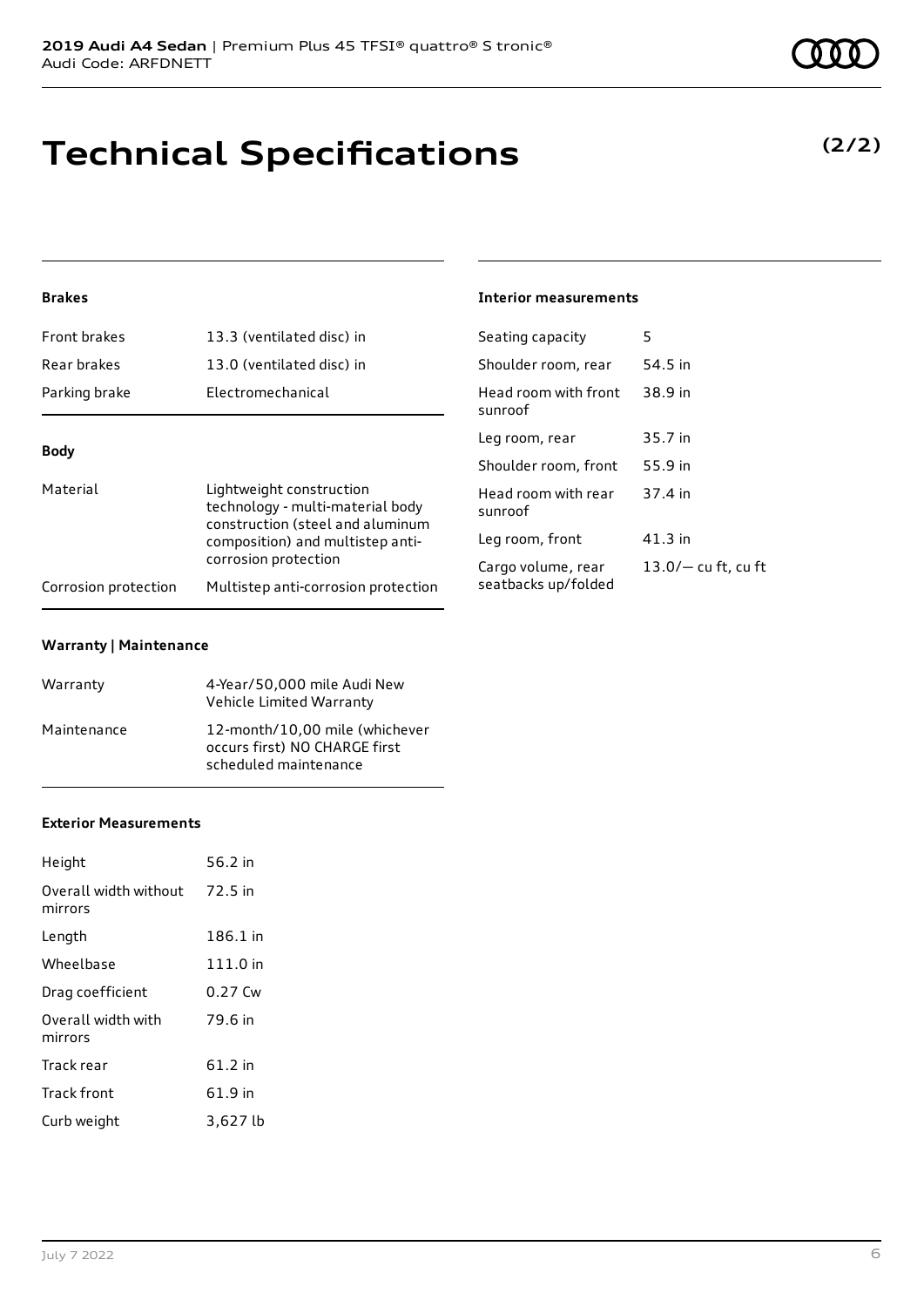## **Technical Specifications**

### **Brakes**

| Front brakes                                                                                                                                                                            | 13.3 (ventilated disc) in           | Seating capacity                | 5                     |
|-----------------------------------------------------------------------------------------------------------------------------------------------------------------------------------------|-------------------------------------|---------------------------------|-----------------------|
| Rear brakes                                                                                                                                                                             | 13.0 (ventilated disc) in           | Shoulder room, rear             | 54.5 in               |
| Parking brake                                                                                                                                                                           | Electromechanical                   | Head room with front<br>sunroof | 38.9 in               |
| <b>Body</b><br>Material<br>Lightweight construction<br>technology - multi-material body<br>construction (steel and aluminum<br>composition) and multistep anti-<br>corrosion protection |                                     | Leg room, rear                  | 35.7 in               |
|                                                                                                                                                                                         |                                     | Shoulder room, front            | 55.9 in               |
|                                                                                                                                                                                         | Head room with rear<br>sunroof      | 37.4 in                         |                       |
|                                                                                                                                                                                         |                                     | Leg room, front                 | $41.3$ in             |
|                                                                                                                                                                                         |                                     | Cargo volume, rear              | $13.0/-$ cu ft, cu ft |
| Corrosion protection                                                                                                                                                                    | Multistep anti-corrosion protection | seatbacks up/folded             |                       |

**Interior measurements**

### **Warranty | Maintenance**

| Warranty    | 4-Year/50,000 mile Audi New<br>Vehicle Limited Warranty                                  |
|-------------|------------------------------------------------------------------------------------------|
| Maintenance | 12-month/10,00 mile (whichever<br>occurs first) NO CHARGE first<br>scheduled maintenance |

### **Exterior Measurements**

| Height                           | 56.2 in  |
|----------------------------------|----------|
| Overall width without<br>mirrors | 72.5 in  |
| Length                           | 186.1 in |
| Wheelbase                        | 111.0 in |
| Drag coefficient                 | 0.27 Cw  |
| Overall width with<br>mirrors    | 79.6 in  |
| Track rear                       | 61.2 in  |
| <b>Track front</b>               | 61.9 in  |
| Curb weight                      | 3,627 lb |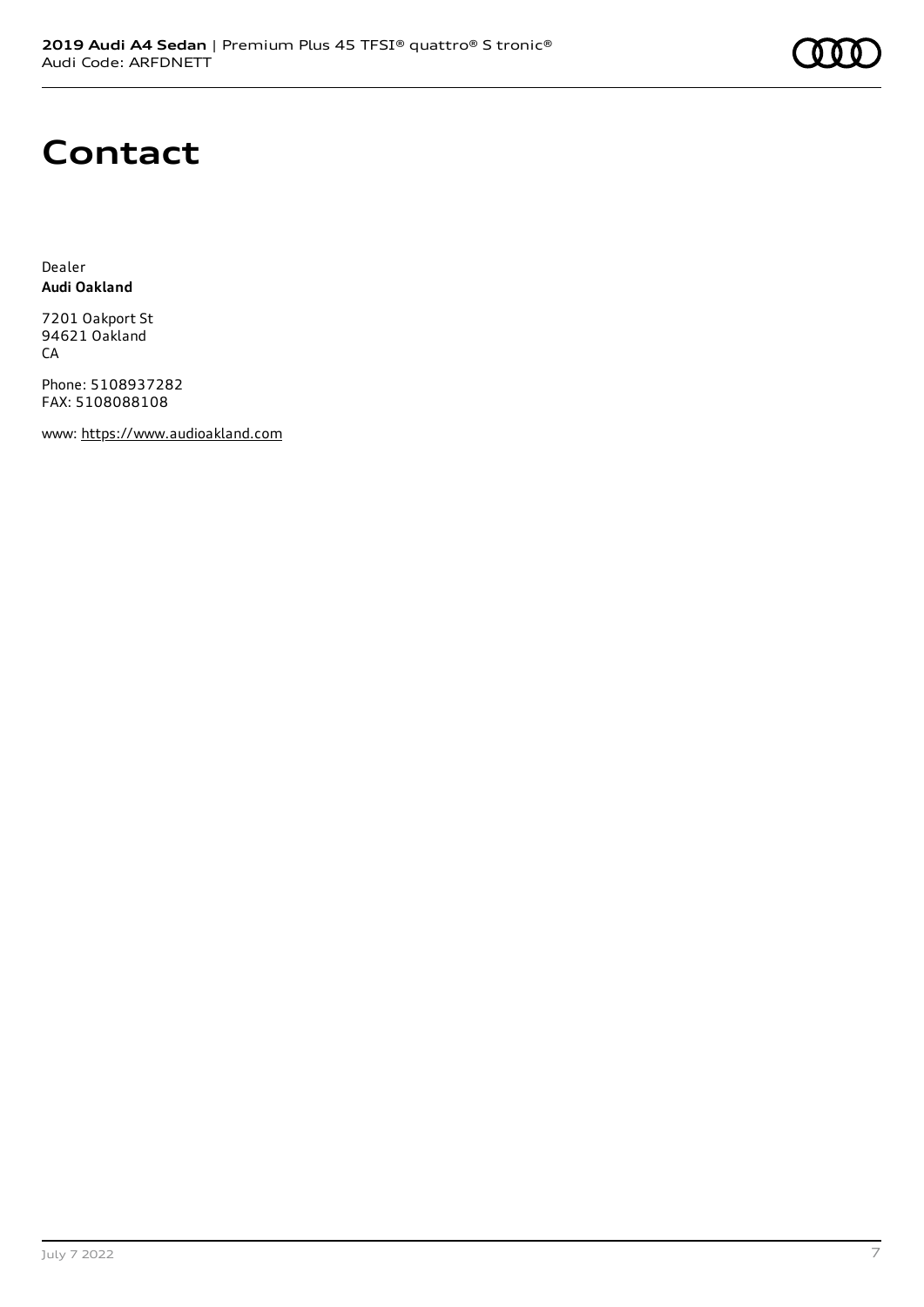## **Contact**

Dealer **Audi Oakland**

7201 Oakport St 94621 Oakland CA

Phone: 5108937282 FAX: 5108088108

www: [https://www.audioakland.com](https://www.audioakland.com/)